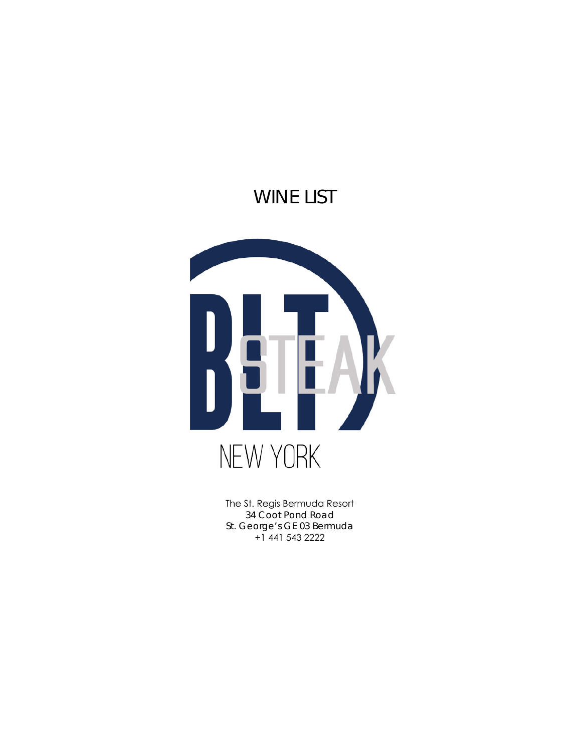# WINE LIST



The St. Regis Bermuda Resort 34 Coot Pond Road St. George's GE 03 Bermuda +1 441 543 2222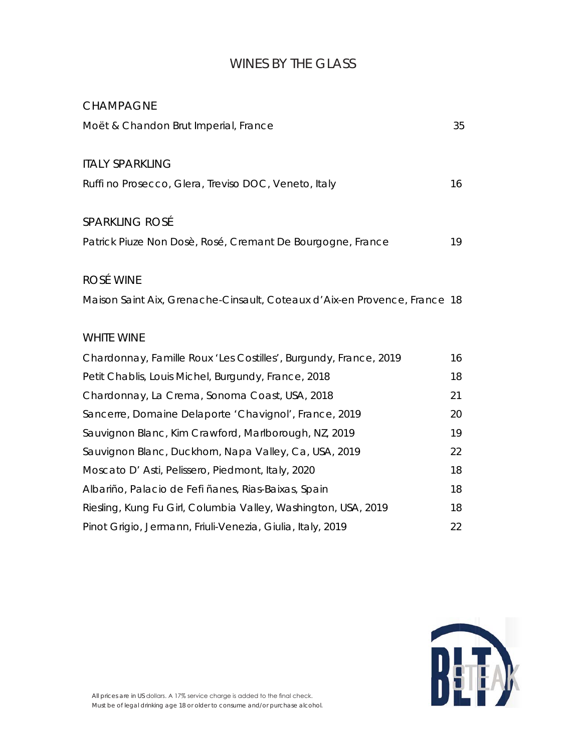# WINES BY THE GLASS

#### CHAMPAGNE

| Moët & Chandon Brut Imperial, France                                      | 35 |
|---------------------------------------------------------------------------|----|
| <b>ITALY SPARKLING</b>                                                    |    |
| Ruffi no Prosecco, Glera, Treviso DOC, Veneto, Italy                      | 16 |
| <b>SPARKLING ROSÉ</b>                                                     |    |
| Patrick Piuze Non Dosè, Rosé, Cremant De Bourgogne, France                | 19 |
| ROSÉ WINE                                                                 |    |
| Maison Saint Aix, Grenache-Cinsault, Coteaux d'Aix-en Provence, France 18 |    |
| <b>WHITE WINE</b>                                                         |    |
| Chardonnay, Famille Roux 'Les Costilles', Burgundy, France, 2019          | 16 |
| Petit Chablis, Louis Michel, Burgundy, France, 2018                       | 18 |
| Chardonnay, La Crema, Sonoma Coast, USA, 2018                             | 21 |
| Sancerre, Domaine Delaporte 'Chavignol', France, 2019                     | 20 |
| Sauvignon Blanc, Kim Crawford, Marlborough, NZ, 2019                      | 19 |
| Sauvignon Blanc, Duckhorn, Napa Valley, Ca, USA, 2019                     | 22 |
| Moscato D' Asti, Pelissero, Piedmont, Italy, 2020                         | 18 |
| Albariño, Palacio de Fefi ñanes, Rias-Baixas, Spain                       | 18 |
| Riesling, Kung Fu Girl, Columbia Valley, Washington, USA, 2019            | 18 |
| Pinot Grigio, Jermann, Friuli-Venezia, Giulia, Italy, 2019                | 22 |

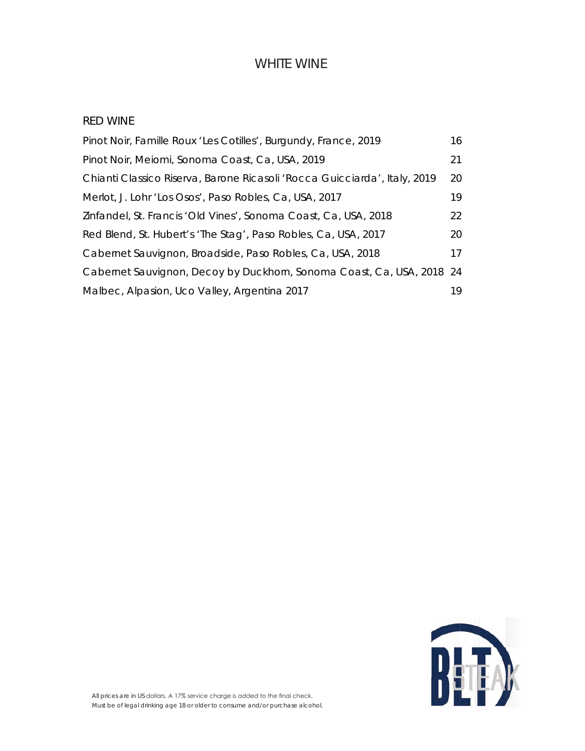#### WHITE WINE

#### RED WINE

| Pinot Noir, Famille Roux 'Les Cotilles', Burgundy, France, 2019           | 16 |
|---------------------------------------------------------------------------|----|
| Pinot Noir, Meiomi, Sonoma Coast, Ca, USA, 2019                           | 21 |
| Chianti Classico Riserva, Barone Ricasoli 'Rocca Guicciarda', Italy, 2019 | 20 |
| Merlot, J. Lohr 'Los Osos', Paso Robles, Ca, USA, 2017                    | 19 |
| Zinfandel, St. Francis 'Old Vines', Sonoma Coast, Ca, USA, 2018           | 22 |
| Red Blend, St. Hubert's 'The Stag', Paso Robles, Ca, USA, 2017            | 20 |
| Cabernet Sauvignon, Broadside, Paso Robles, Ca, USA, 2018                 | 17 |
| Cabernet Sauvignon, Decoy by Duckhorn, Sonoma Coast, Ca, USA, 2018 24     |    |
| Malbec, Alpasion, Uco Valley, Argentina 2017                              | 19 |

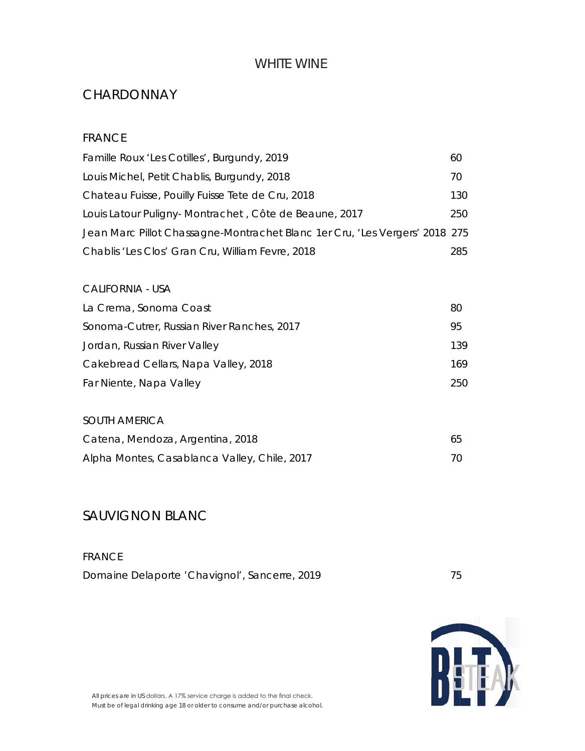### WHITE WINE

### **CHARDONNAY**

#### FRANCE

| Famille Roux 'Les Cotilles', Burgundy, 2019                                 | 60   |
|-----------------------------------------------------------------------------|------|
| Louis Michel, Petit Chablis, Burgundy, 2018                                 | 70   |
| Chateau Fuisse, Pouilly Fuisse Tete de Cru, 2018                            | 130. |
| Louis Latour Puligny-Montrachet, Côte de Beaune, 2017                       | 250  |
| Jean Marc Pillot Chassagne-Montrachet Blanc 1er Cru, 'Les Vergers' 2018 275 |      |
| Chablis 'Les Clos' Gran Cru, William Fevre, 2018                            | 285. |

#### CALIFORNIA - USA

| La Crema, Sonoma Coast                     | 80  |
|--------------------------------------------|-----|
| Sonoma-Cutrer, Russian River Ranches, 2017 | 95  |
| Jordan, Russian River Valley               | 139 |
| Cakebread Cellars, Napa Valley, 2018       | 169 |
| Far Niente, Napa Valley                    | 250 |
|                                            |     |

# SOUTH AMERICA

| Catena, Mendoza, Argentina, 2018             | 65 |
|----------------------------------------------|----|
| Alpha Montes, Casablanca Valley, Chile, 2017 |    |

# SAUVIGNON BLANC

FRANCE Domaine Delaporte 'Chavignol', Sancerre, 2019 **75** 

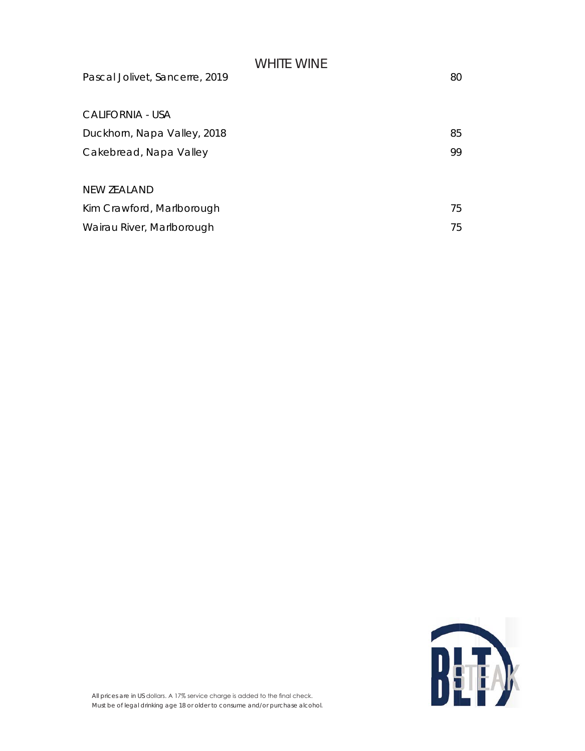# WHITE WINE Pascal Jolivet, Sancerre, 2019 80 CALIFORNIA - USA Duckhorn, Napa Valley, 2018 85 Cakebread, Napa Valley 99 NEW ZEALAND Kim Crawford, Marlborough 75 Wairau River, Marlborough 75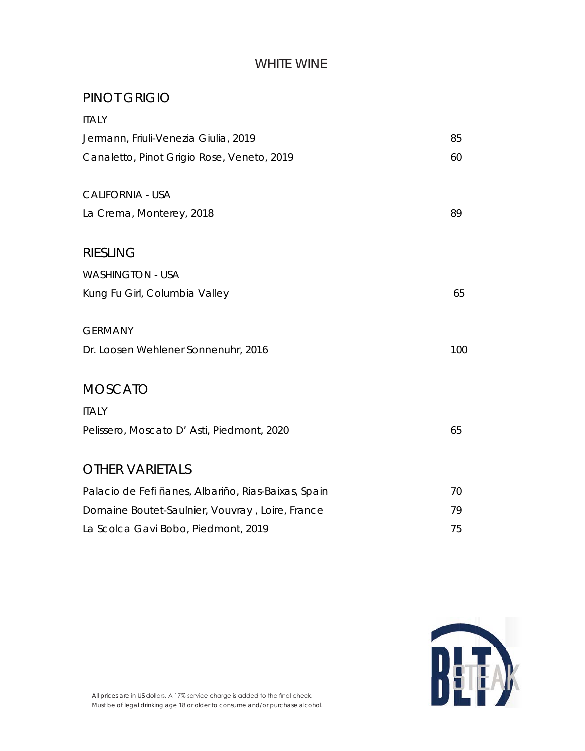### WHITE WINE

## PINOT GRIGIO

| <b>ITALY</b>                                        |     |
|-----------------------------------------------------|-----|
| Jermann, Friuli-Venezia Giulia, 2019                | 85  |
| Canaletto, Pinot Grigio Rose, Veneto, 2019          | 60  |
| <b>CALIFORNIA - USA</b>                             |     |
| La Crema, Monterey, 2018                            | 89  |
| <b>RIESLING</b>                                     |     |
| <b>WASHINGTON - USA</b>                             |     |
| Kung Fu Girl, Columbia Valley                       | 65  |
| <b>GERMANY</b>                                      |     |
| Dr. Loosen Wehlener Sonnenuhr, 2016                 | 100 |
| <b>MOSCATO</b>                                      |     |
| <b>ITALY</b>                                        |     |
| Pelissero, Moscato D' Asti, Piedmont, 2020          | 65  |
| <b>OTHER VARIETALS</b>                              |     |
| Palacio de Fefi ñanes, Albariño, Rias-Baixas, Spain | 70  |
| Domaine Boutet-Saulnier, Vouvray, Loire, France     | 79  |
| La Scolca Gavi Bobo, Piedmont, 2019                 | 75  |

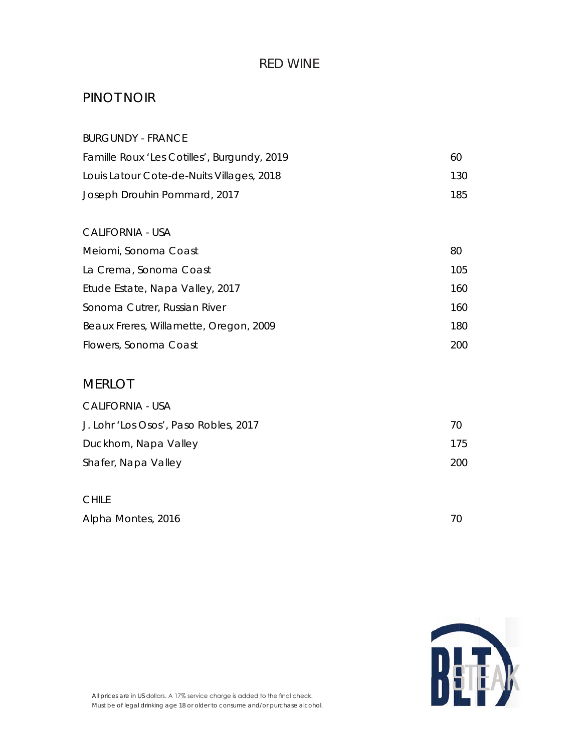### PINOT NOIR

| <b>BURGUNDY - FRANCE</b>                    |     |
|---------------------------------------------|-----|
| Famille Roux 'Les Cotilles', Burgundy, 2019 | 60  |
| Louis Latour Cote-de-Nuits Villages, 2018   | 130 |
| Joseph Drouhin Pommard, 2017                | 185 |
| <b>CALIFORNIA - USA</b>                     |     |
| Meiomi, Sonoma Coast                        | 80  |
| La Crema, Sonoma Coast                      | 105 |
| Etude Estate, Napa Valley, 2017             | 160 |
| Sonoma Cutrer, Russian River                | 160 |
| Beaux Freres, Willamette, Oregon, 2009      | 180 |
| Flowers, Sonoma Coast                       | 200 |
| <b>MERLOT</b>                               |     |
| <b>CALIFORNIA - USA</b>                     |     |
| J. Lohr 'Los Osos', Paso Robles, 2017       | 70  |
| Duckhorn, Napa Valley                       | 175 |
| Shafer, Napa Valley                         | 200 |
| <b>CHILE</b>                                |     |
| Alpha Montes, 2016                          | 70  |

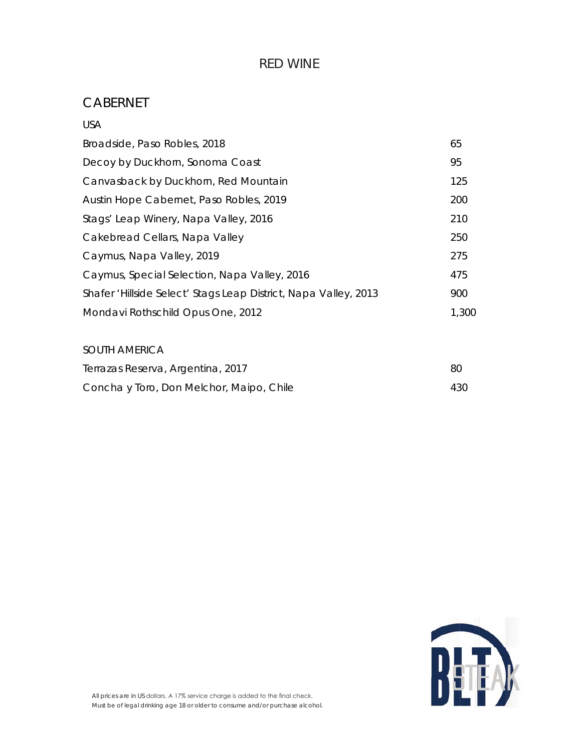### CABERNET

| <b>USA</b>                                                      |       |
|-----------------------------------------------------------------|-------|
| Broadside, Paso Robles, 2018                                    | 65    |
| Decoy by Duckhorn, Sonoma Coast                                 | 95    |
| Canvasback by Duckhorn, Red Mountain                            | 125   |
| Austin Hope Cabernet, Paso Robles, 2019                         | 200   |
| Stags' Leap Winery, Napa Valley, 2016                           | 210   |
| Cakebread Cellars, Napa Valley                                  | 250   |
| Caymus, Napa Valley, 2019                                       | 275   |
| Caymus, Special Selection, Napa Valley, 2016                    | 475   |
| Shafer 'Hillside Select' Stags Leap District, Napa Valley, 2013 | 900   |
| Mondavi Rothschild Opus One, 2012                               | 1,300 |
|                                                                 |       |

# SOUTH AMERICA Terrazas Reserva, Argentina, 2017 80 Concha y Toro, Don Melchor, Maipo, Chile 430

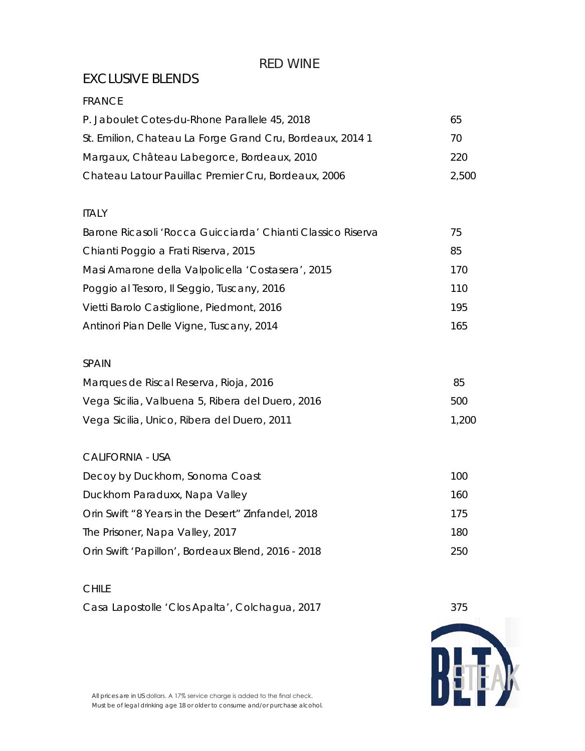# EXCLUSIVE BLENDS

#### FRANCE

| P. Jaboulet Cotes-du-Rhone Parallele 45, 2018             | 65    |
|-----------------------------------------------------------|-------|
| St. Emilion, Chateau La Forge Grand Cru, Bordeaux, 2014 1 | 70    |
| Margaux, Château Labegorce, Bordeaux, 2010                | 220   |
| Chateau Latour Pauillac Premier Cru, Bordeaux, 2006       | 2.500 |

#### ITALY

| Barone Ricasoli 'Rocca Guicciarda' Chianti Classico Riserva | 75   |
|-------------------------------------------------------------|------|
| Chianti Poggio a Frati Riserva, 2015                        | 85   |
| Masi Amarone della Valpolicella 'Costasera', 2015           | 170. |
| Poggio al Tesoro, Il Seggio, Tuscany, 2016                  | 110  |
| Vietti Barolo Castiglione, Piedmont, 2016                   | 195  |
| Antinori Pian Delle Vigne, Tuscany, 2014                    | 165. |

#### SPAIN

| Marques de Riscal Reserva, Rioja, 2016           | -85   |
|--------------------------------------------------|-------|
| Vega Sicilia, Valbuena 5, Ribera del Duero, 2016 | 500   |
| Vega Sicilia, Unico, Ribera del Duero, 2011      | 1.200 |

#### CALIFORNIA - USA

| Decoy by Duckhorn, Sonoma Coast                    | 100 |
|----------------------------------------------------|-----|
| Duckhorn Paraduxx, Napa Valley                     | 160 |
| Orin Swift "8 Years in the Desert" Zinfandel, 2018 | 175 |
| The Prisoner, Napa Valley, 2017                    | 180 |
| Orin Swift 'Papillon', Bordeaux Blend, 2016 - 2018 | 250 |

#### CHILE

Casa Lapostolle 'Clos Apalta', Colchagua, 2017 375





All prices are in US dollars. A 17% service charge is added to the final check. Must be of legal drinking age 18 or older to consume and/or purchase alcohol.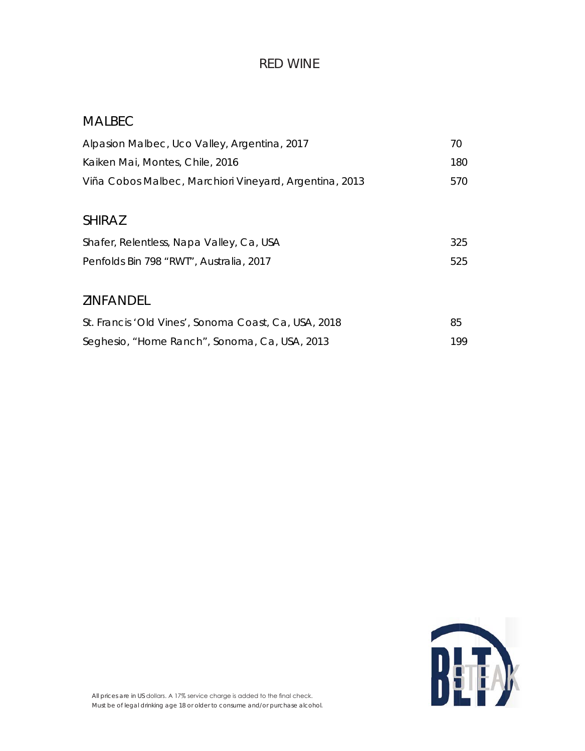# MALBEC

| Alpasion Malbec, Uco Valley, Argentina, 2017           | 70  |
|--------------------------------------------------------|-----|
| Kaiken Mai, Montes, Chile, 2016                        | 180 |
| Viña Cobos Malbec, Marchiori Vineyard, Argentina, 2013 | 570 |
|                                                        |     |
| <b>SHIRAZ</b>                                          |     |
| Shafer, Relentless, Napa Valley, Ca, USA               | 325 |
| Penfolds Bin 798 "RWT", Australia, 2017                | 525 |
|                                                        |     |
| <b>ZINFANDEL</b>                                       |     |
| St. Francis 'Old Vines', Sonoma Coast, Ca, USA, 2018   | 85  |
| Seghesio, "Home Ranch", Sonoma, Ca, USA, 2013          | 199 |

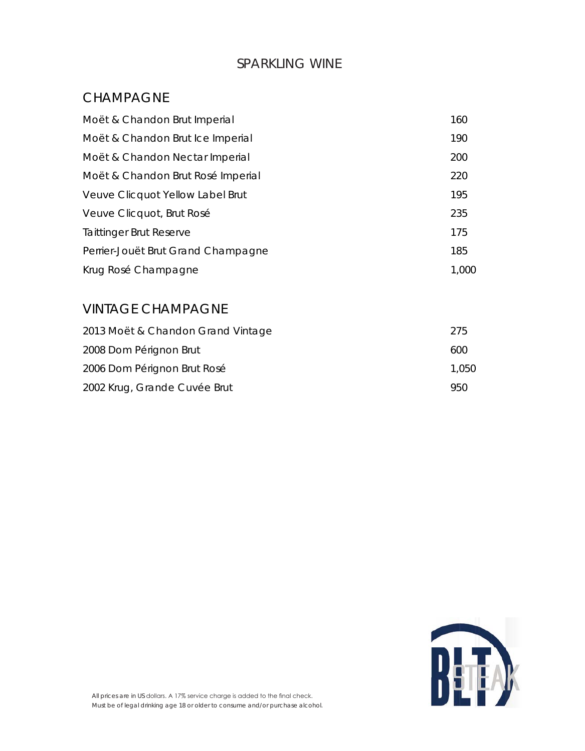### SPARKLING WINE

### CHAMPAGNE

| Moët & Chandon Brut Imperial       | 160   |
|------------------------------------|-------|
| Moët & Chandon Brut Ice Imperial   | 190   |
| Moët & Chandon Nectar Imperial     | 200   |
| Moët & Chandon Brut Rosé Imperial  | 220   |
| Veuve Clicquot Yellow Label Brut   | 195   |
| Veuve Clicquot, Brut Rosé          | 235   |
| Taittinger Brut Reserve            | 175   |
| Perrier-Jouët Brut Grand Champagne | 185   |
| Krug Rosé Champagne                | 1,000 |

# VINTAGE CHAMPAGNE

| 2013 Moët & Chandon Grand Vintage | 275   |
|-----------------------------------|-------|
| 2008 Dom Pérignon Brut            | 600   |
| 2006 Dom Pérignon Brut Rosé       | 1.050 |
| 2002 Krug, Grande Cuvée Brut      | 950   |